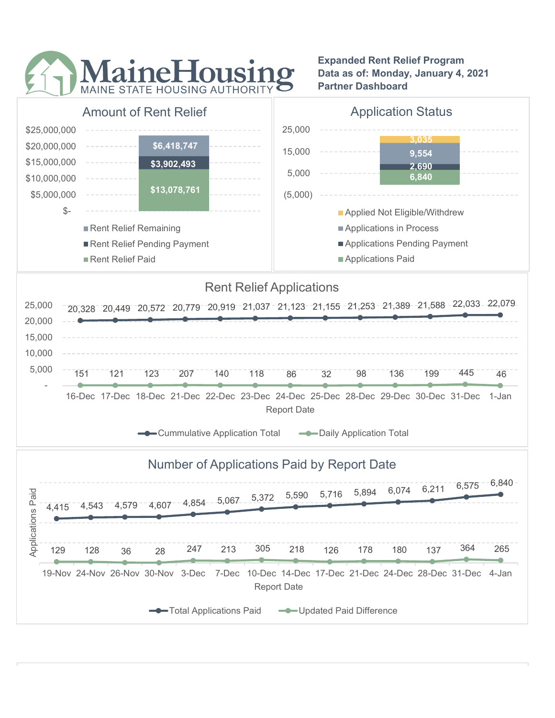

Expanded Rent Relief Program Data as of: Monday, January 4, 2021 Partner Dashboard



Report Date

Total Applications Paid **CODE-U**pdated Paid Difference